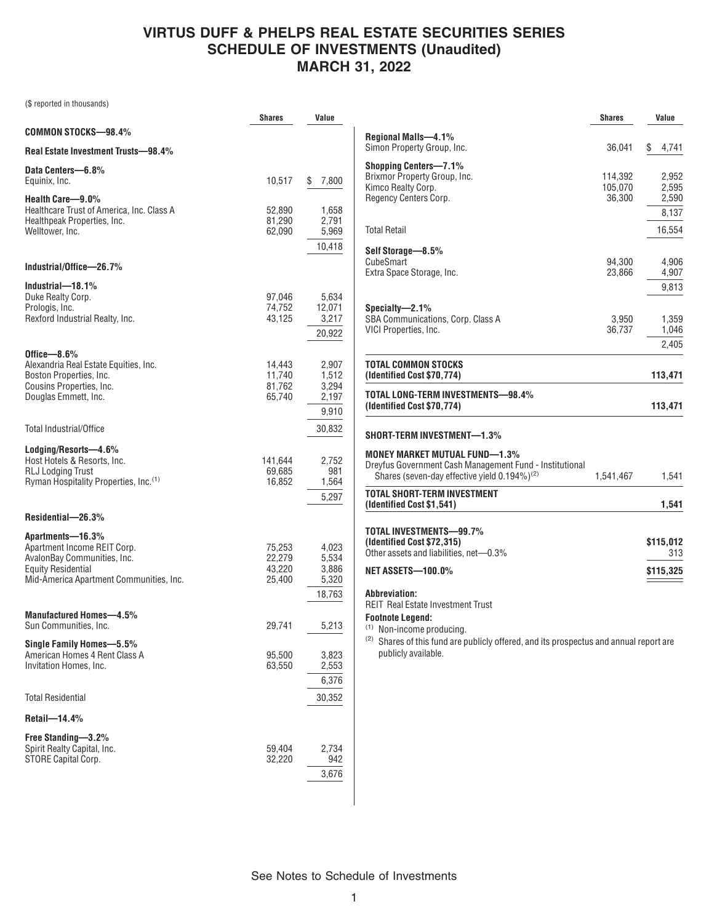# **VIRTUS DUFF & PHELPS REAL ESTATE SECURITIES SERIES SCHEDULE OF INVESTMENTS (Unaudited) MARCH 31, 2022**

(\$ reported in thousands)

|                                                                                                                                                        | Shares                               | Value                                      |
|--------------------------------------------------------------------------------------------------------------------------------------------------------|--------------------------------------|--------------------------------------------|
| COMMON STOCKS-98.4%                                                                                                                                    |                                      |                                            |
| Real Estate Investment Trusts-98.4%                                                                                                                    |                                      |                                            |
| Data Centers-6.8%<br>Equinix, Inc.                                                                                                                     | 10,517                               | \$<br>7,800                                |
| Health Care-9.0%<br>Healthcare Trust of America, Inc. Class A<br>Healthpeak Properties, Inc.<br>Welltower, Inc.                                        | 52,890<br>81,290<br>62,090           | 1,658<br>2,791<br>5,969<br>10,418          |
| Industrial/Office-26.7%                                                                                                                                |                                      |                                            |
| Industrial-18.1%<br>Duke Realty Corp.<br>Prologis, Inc.<br>Rexford Industrial Realty, Inc.                                                             | 97,046<br>74,752<br>43,125           | 5,634<br>12,071<br>3,217<br>20,922         |
| Office $-8.6\%$<br>Alexandria Real Estate Equities, Inc.<br>Boston Properties, Inc.<br>Cousins Properties, Inc.<br>Douglas Emmett, Inc.                | 14,443<br>11,740<br>81,762<br>65,740 | 2,907<br>1,512<br>3,294<br>2,197<br>9,910  |
| <b>Total Industrial/Office</b>                                                                                                                         |                                      | 30,832                                     |
| Lodging/Resorts-4.6%<br>Host Hotels & Resorts, Inc.<br><b>RLJ Lodging Trust</b><br>Ryman Hospitality Properties, Inc. <sup>(1)</sup>                   | 141,644<br>69,685<br>16,852          | 2,752<br>981<br>1,564<br>5,297             |
| Residential-26.3%                                                                                                                                      |                                      |                                            |
| Apartments-16.3%<br>Apartment Income REIT Corp.<br>AvalonBay Communities, Inc.<br><b>Equity Residential</b><br>Mid-America Apartment Communities, Inc. | 75,253<br>22,279<br>43,220<br>25,400 | 4,023<br>5,534<br>3,886<br>5,320<br>18,763 |
| Manufactured Homes-4.5%<br>Sun Communities, Inc.                                                                                                       | 29,741                               | 5,213                                      |
| Single Family Homes-5.5%<br>American Homes 4 Rent Class A<br>Invitation Homes, Inc.                                                                    | 95,500<br>63,550                     | 3,823<br>2,553<br>6,376                    |
| <b>Total Residential</b>                                                                                                                               |                                      | 30,352                                     |
| Retail-14.4%                                                                                                                                           |                                      |                                            |
| Free Standing-3.2%<br>Spirit Realty Capital, Inc.<br>STORE Capital Corp.                                                                               | 59,404<br>32,220                     | 2,734<br>942<br>3,676                      |

|                                                                                                                                                                                                                                            | <b>Shares</b>      | Value            |
|--------------------------------------------------------------------------------------------------------------------------------------------------------------------------------------------------------------------------------------------|--------------------|------------------|
| Regional Malls—4.1%<br>Simon Property Group, Inc.                                                                                                                                                                                          | 36,041             | \$<br>4,741      |
| Shopping Centers—7.1%<br>Brixmor Property Group, Inc.<br>Kimco Realty Corp.                                                                                                                                                                | 114,392<br>105,070 | 2,952<br>2,595   |
| Regency Centers Corp.                                                                                                                                                                                                                      | 36,300             | 2,590<br>8,137   |
| Total Retail                                                                                                                                                                                                                               |                    | 16,554           |
| Self Storage-8.5%<br>CubeSmart                                                                                                                                                                                                             | 94,300             | 4.906            |
| Extra Space Storage, Inc.                                                                                                                                                                                                                  | 23,866             | 4,907<br>9,813   |
| Specialty—2.1%<br>SBA Communications, Corp. Class A<br>VICI Properties, Inc.                                                                                                                                                               | 3,950<br>36,737    | 1,359<br>1,046   |
|                                                                                                                                                                                                                                            |                    | 2,405            |
| TOTAL COMMON STOCKS<br>(Identified Cost \$70,774)                                                                                                                                                                                          |                    | 113,471          |
| TOTAL LONG-TERM INVESTMENTS—98.4%<br>(Identified Cost \$70,774)                                                                                                                                                                            |                    | 113,471          |
| SHORT-TERM INVESTMENT—1.3%                                                                                                                                                                                                                 |                    |                  |
| MONEY MARKET MUTUAL FUND—1.3%<br>Dreyfus Government Cash Management Fund - Institutional<br>Shares (seven-day effective yield $0.194\%$ ) <sup>(2)</sup>                                                                                   | 1,541,467          | 1,541            |
| TOTAL SHORT-TERM INVESTMENT<br>(Identified Cost \$1,541)                                                                                                                                                                                   |                    | 1,541            |
| TOTAL INVESTMENTS—99.7%<br>(Identified Cost \$72,315)<br>Other assets and liabilities, net—0.3%                                                                                                                                            |                    | \$115,012<br>313 |
| NET ASSETS—100.0%                                                                                                                                                                                                                          |                    | \$115,325        |
| Abbreviation:<br>REIT Real Estate Investment Trust<br>Footnote Legend:<br><sup>(1)</sup> Non-income producing.<br><sup>(2)</sup> Shares of this fund are publicly offered, and its prospectus and annual report are<br>publicly available. |                    |                  |
|                                                                                                                                                                                                                                            |                    |                  |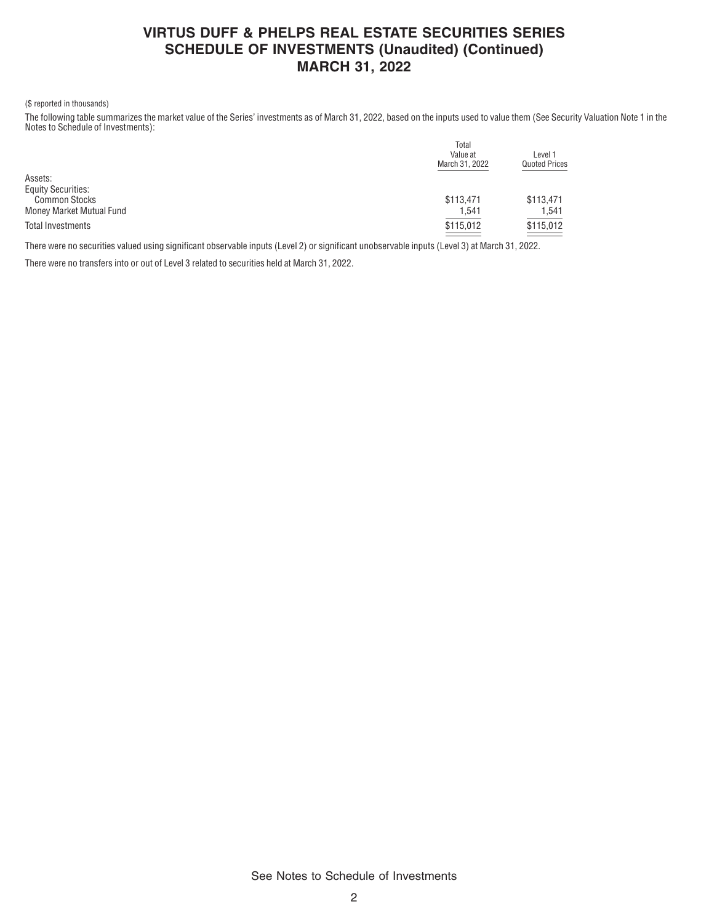### **VIRTUS DUFF & PHELPS REAL ESTATE SECURITIES SERIES SCHEDULE OF INVESTMENTS (Unaudited) (Continued) MARCH 31, 2022**

### (\$ reported in thousands)

The following table summarizes the market value of the Series' investments as of March 31, 2022, based on the inputs used to value them (See Security Valuation Note 1 in the Notes to Schedule of Investments):

|                           | Total          |                      |
|---------------------------|----------------|----------------------|
|                           | Value at       | Level 1              |
|                           | March 31, 2022 | <b>Quoted Prices</b> |
| Assets:                   |                |                      |
| <b>Equity Securities:</b> |                |                      |
| <b>Common Stocks</b>      | \$113,471      | \$113,471            |
| Money Market Mutual Fund  | 1,541          | 1,541                |
| <b>Total Investments</b>  | \$115,012      | \$115,012            |
|                           |                |                      |

There were no securities valued using significant observable inputs (Level 2) or significant unobservable inputs (Level 3) at March 31, 2022.

There were no transfers into or out of Level 3 related to securities held at March 31, 2022.

See Notes to Schedule of Investments